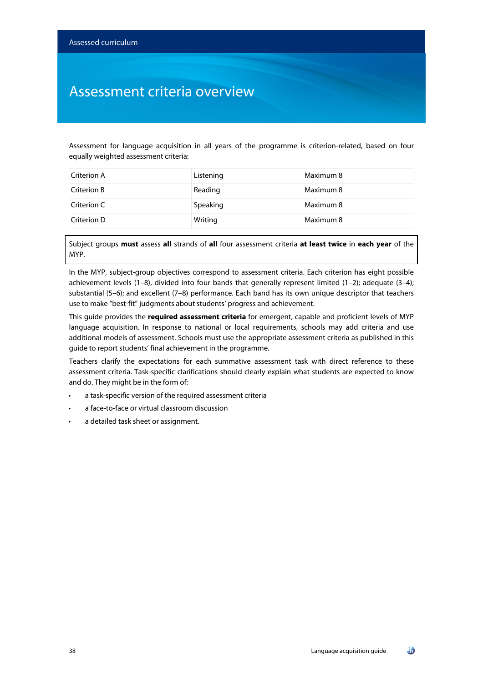## Assessment criteria overview

Assessment for language acquisition in all years of the programme is criterion-related, based on four equally weighted assessment criteria:

| Criterion A    | Listening | Maximum 8 |
|----------------|-----------|-----------|
| Criterion B    | Reading   | Maximum 8 |
| $C$ riterion C | Speaking  | Maximum 8 |
| Criterion D    | Writing   | Maximum 8 |

Subject groups **must** assess **all** strands of **all** four assessment criteria **at least twice** in **each year** of the MYP.

In the MYP, subject-group objectives correspond to assessment criteria. Each criterion has eight possible achievement levels (1-8), divided into four bands that generally represent limited (1-2); adequate (3-4); substantial (5–6); and excellent (7–8) performance. Each band has its own unique descriptor that teachers use to make "best-fit" judgments about students' progress and achievement.

This guide provides the **required assessment criteria** for emergent, capable and proficient levels of MYP language acquisition. In response to national or local requirements, schools may add criteria and use additional models of assessment. Schools must use the appropriate assessment criteria as published in this guide to report students' final achievement in the programme.

Teachers clarify the expectations for each summative assessment task with direct reference to these assessment criteria. Task-specific clarifications should clearly explain what students are expected to know and do. They might be in the form of:

- a task-specific version of the required assessment criteria
- a face-to-face or virtual classroom discussion
- a detailed task sheet or assignment.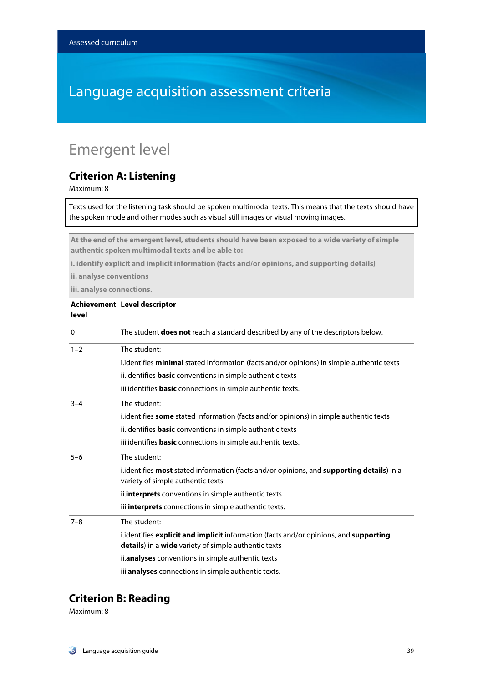# Language acquisition assessment criteria

# Emergent level

#### **Criterion A: Listening**

Maximum: 8

Texts used for the listening task should be spoken multimodal texts. This means that the texts should have the spoken mode and other modes such as visual still images or visual moving images.

**At the end of the emergent level, students should have been exposed to a wide variety of simple authentic spoken multimodal texts and be able to:**

**i. identify explicit and implicit information (facts and/or opinions, and supporting details)**

**ii. analyse conventions**

**iii. analyse connections.**

| level        | Achievement Level descriptor                                                                                                                  |
|--------------|-----------------------------------------------------------------------------------------------------------------------------------------------|
| $\mathbf{0}$ | The student <b>does not</b> reach a standard described by any of the descriptors below.                                                       |
| $1 - 2$      | The student:                                                                                                                                  |
|              | i.identifies <b>minimal</b> stated information (facts and/or opinions) in simple authentic texts                                              |
|              | ii.identifies <b>basic</b> conventions in simple authentic texts                                                                              |
|              | iii.identifies <b>basic</b> connections in simple authentic texts.                                                                            |
| $3 - 4$      | The student:                                                                                                                                  |
|              | i.identifies some stated information (facts and/or opinions) in simple authentic texts                                                        |
|              | ii.identifies <b>basic</b> conventions in simple authentic texts                                                                              |
|              | iii.identifies <b>basic</b> connections in simple authentic texts.                                                                            |
| $5 - 6$      | The student:                                                                                                                                  |
|              | i.identifies most stated information (facts and/or opinions, and supporting details) in a<br>variety of simple authentic texts                |
|              | ii. <b>interprets</b> conventions in simple authentic texts                                                                                   |
|              | iii.interprets connections in simple authentic texts.                                                                                         |
| $7 - 8$      | The student:                                                                                                                                  |
|              | i.identifies explicit and implicit information (facts and/or opinions, and supporting<br>details) in a wide variety of simple authentic texts |
|              | ii.analyses conventions in simple authentic texts                                                                                             |
|              | iii.analyses connections in simple authentic texts.                                                                                           |

#### **Criterion B: Reading**

Maximum: 8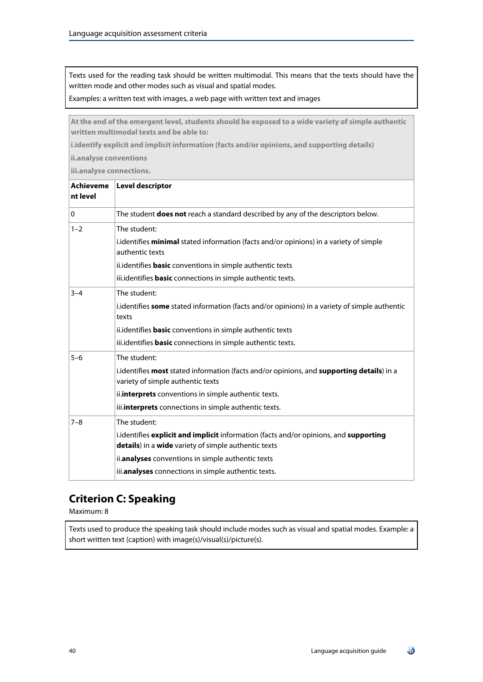Texts used for the reading task should be written multimodal. This means that the texts should have the written mode and other modes such as visual and spatial modes.

Examples: a written text with images, a web page with written text and images

**At the end of the emergent level, students should be exposed to a wide variety of simple authentic written multimodal texts and be able to:**

**i.identify explicit and implicit information (facts and/or opinions, and supporting details)**

**ii.analyse conventions**

**iii.analyse connections.**

| <b>Achieveme</b><br>nt level | <b>Level descriptor</b>                                                                                                                       |
|------------------------------|-----------------------------------------------------------------------------------------------------------------------------------------------|
| $\Omega$                     | The student <b>does not</b> reach a standard described by any of the descriptors below.                                                       |
| $1 - 2$                      | The student:                                                                                                                                  |
|                              | i.identifies minimal stated information (facts and/or opinions) in a variety of simple<br>authentic texts                                     |
|                              | ii.identifies <b>basic</b> conventions in simple authentic texts                                                                              |
|                              | iii.identifies <b>basic</b> connections in simple authentic texts.                                                                            |
| $3 - 4$                      | The student:                                                                                                                                  |
|                              | i.identifies some stated information (facts and/or opinions) in a variety of simple authentic<br>texts                                        |
|                              | ii.identifies <b>basic</b> conventions in simple authentic texts                                                                              |
|                              | iii.identifies <b>basic</b> connections in simple authentic texts.                                                                            |
| $5 - 6$                      | The student:                                                                                                                                  |
|                              | i.identifies most stated information (facts and/or opinions, and supporting details) in a<br>variety of simple authentic texts                |
|                              | ii.interprets conventions in simple authentic texts.                                                                                          |
|                              | iii.interprets connections in simple authentic texts.                                                                                         |
| $7 - 8$                      | The student:                                                                                                                                  |
|                              | i.identifies explicit and implicit information (facts and/or opinions, and supporting<br>details) in a wide variety of simple authentic texts |
|                              | ii.analyses conventions in simple authentic texts                                                                                             |
|                              | iii.analyses connections in simple authentic texts.                                                                                           |

#### **Criterion C: Speaking**

Maximum: 8

Texts used to produce the speaking task should include modes such as visual and spatial modes. Example: a short written text (caption) with image(s)/visual(s)/picture(s).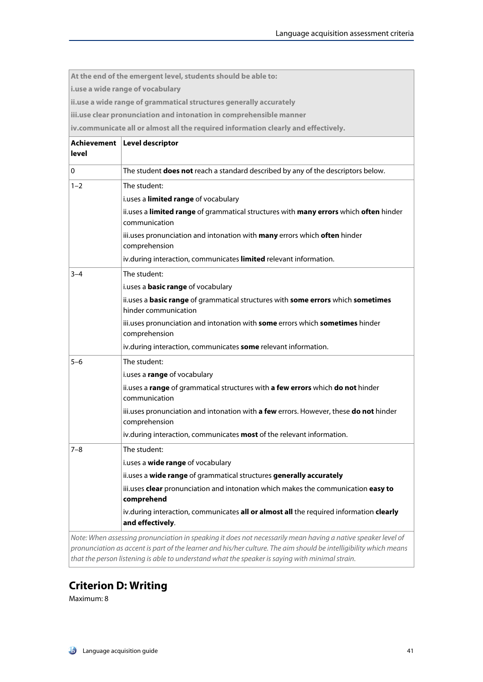|         | At the end of the emergent level, students should be able to:                                                                                                                                                        |
|---------|----------------------------------------------------------------------------------------------------------------------------------------------------------------------------------------------------------------------|
|         | i.use a wide range of vocabulary                                                                                                                                                                                     |
|         | ii.use a wide range of grammatical structures generally accurately                                                                                                                                                   |
|         | iii.use clear pronunciation and intonation in comprehensible manner                                                                                                                                                  |
|         | iv.communicate all or almost all the required information clearly and effectively.                                                                                                                                   |
|         | Achievement   Level descriptor                                                                                                                                                                                       |
| level   |                                                                                                                                                                                                                      |
| 0       | The student <b>does not</b> reach a standard described by any of the descriptors below.                                                                                                                              |
| $1 - 2$ | The student:                                                                                                                                                                                                         |
|         | i.uses a limited range of vocabulary                                                                                                                                                                                 |
|         | ii.uses a limited range of grammatical structures with many errors which often hinder<br>communication                                                                                                               |
|         | iii.uses pronunciation and intonation with many errors which often hinder<br>comprehension                                                                                                                           |
|         | iv.during interaction, communicates limited relevant information.                                                                                                                                                    |
| $3 - 4$ | The student:                                                                                                                                                                                                         |
|         | i.uses a <b>basic range</b> of vocabulary                                                                                                                                                                            |
|         | ii.uses a basic range of grammatical structures with some errors which sometimes<br>hinder communication                                                                                                             |
|         | iii.uses pronunciation and intonation with some errors which sometimes hinder<br>comprehension                                                                                                                       |
|         | iv.during interaction, communicates some relevant information.                                                                                                                                                       |
| $5 - 6$ | The student:                                                                                                                                                                                                         |
|         | i.uses a range of vocabulary                                                                                                                                                                                         |
|         | ii.uses a range of grammatical structures with a few errors which do not hinder<br>communication                                                                                                                     |
|         | iii.uses pronunciation and intonation with a few errors. However, these do not hinder<br>comprehension                                                                                                               |
|         | iv.during interaction, communicates most of the relevant information.                                                                                                                                                |
| 7–8     | The student:                                                                                                                                                                                                         |
|         | i.uses a wide range of vocabulary                                                                                                                                                                                    |
|         | ii.uses a wide range of grammatical structures generally accurately                                                                                                                                                  |
|         | iii.uses clear pronunciation and intonation which makes the communication easy to<br>comprehend                                                                                                                      |
|         | iv.during interaction, communicates all or almost all the required information clearly<br>and effectively.                                                                                                           |
|         | Note: When assessing pronunciation in speaking it does not necessarily mean having a native speaker level of                                                                                                         |
|         | pronunciation as accent is part of the learner and his/her culture. The aim should be intelligibility which means<br>that the person listening is able to understand what the speaker is saying with minimal strain. |

#### **Criterion D: Writing**

Maximum: 8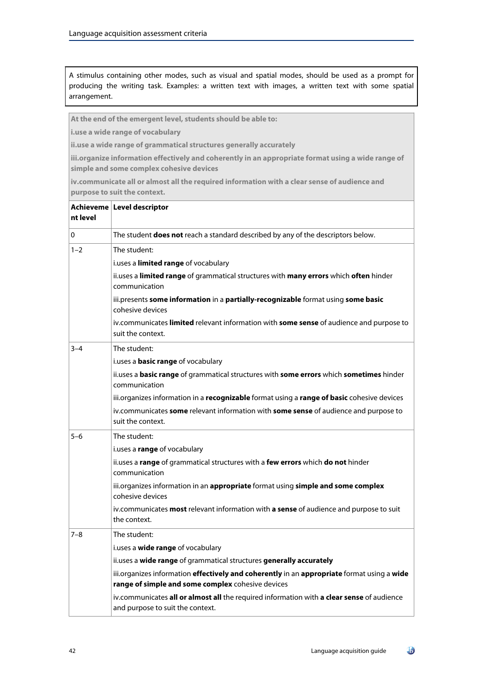A stimulus containing other modes, such as visual and spatial modes, should be used as a prompt for producing the writing task. Examples: a written text with images, a written text with some spatial arrangement.

**At the end of the emergent level, students should be able to:**

**i.use a wide range of vocabulary**

**ii.use a wide range of grammatical structures generally accurately**

**iii.organize information effectively and coherently in an appropriate format using a wide range of simple and some complex cohesive devices**

**iv.communicate all or almost all the required information with a clear sense of audience and purpose to suit the context.**

| nt level | Achieveme Level descriptor                                                                                                                      |
|----------|-------------------------------------------------------------------------------------------------------------------------------------------------|
| 0        | The student does not reach a standard described by any of the descriptors below.                                                                |
| $1 - 2$  | The student:                                                                                                                                    |
|          | i.uses a limited range of vocabulary                                                                                                            |
|          | ii.uses a limited range of grammatical structures with many errors which often hinder<br>communication                                          |
|          | iii.presents some information in a partially-recognizable format using some basic<br>cohesive devices                                           |
|          | iv.communicates limited relevant information with some sense of audience and purpose to<br>suit the context.                                    |
| $3 - 4$  | The student:                                                                                                                                    |
|          | i.uses a <b>basic range</b> of vocabulary                                                                                                       |
|          | ii.uses a basic range of grammatical structures with some errors which sometimes hinder<br>communication                                        |
|          | iii.organizes information in a recognizable format using a range of basic cohesive devices                                                      |
|          | iv.communicates some relevant information with some sense of audience and purpose to<br>suit the context.                                       |
| $5 - 6$  | The student:                                                                                                                                    |
|          | i.uses a range of vocabulary                                                                                                                    |
|          | ii.uses a range of grammatical structures with a few errors which do not hinder<br>communication                                                |
|          | iii.organizes information in an appropriate format using simple and some complex<br>cohesive devices                                            |
|          | iv.communicates most relevant information with a sense of audience and purpose to suit<br>the context.                                          |
| $7 - 8$  | The student:                                                                                                                                    |
|          | i.uses a wide range of vocabulary                                                                                                               |
|          | ii.uses a wide range of grammatical structures generally accurately                                                                             |
|          | iii.organizes information effectively and coherently in an appropriate format using a wide<br>range of simple and some complex cohesive devices |
|          | iv.communicates all or almost all the required information with a clear sense of audience<br>and purpose to suit the context.                   |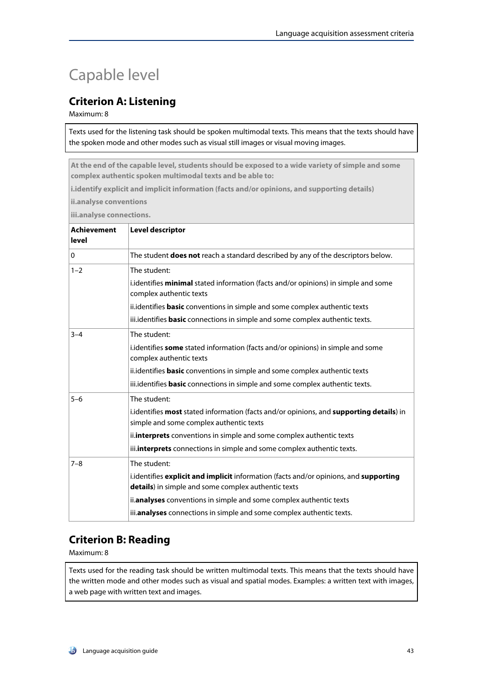# Capable level

#### **Criterion A: Listening**

Maximum: 8

Texts used for the listening task should be spoken multimodal texts. This means that the texts should have the spoken mode and other modes such as visual still images or visual moving images.

**At the end of the capable level, students should be exposed to a wide variety of simple and some complex authentic spoken multimodal texts and be able to:**

**i.identify explicit and implicit information (facts and/or opinions, and supporting details)**

**ii.analyse conventions**

**iii.analyse connections.**

| Achievement<br>level | Level descriptor                                                                                                                             |
|----------------------|----------------------------------------------------------------------------------------------------------------------------------------------|
| $\Omega$             | The student <b>does not</b> reach a standard described by any of the descriptors below.                                                      |
| $1 - 2$              | The student:                                                                                                                                 |
|                      | i.identifies minimal stated information (facts and/or opinions) in simple and some<br>complex authentic texts                                |
|                      | ii.identifies <b>basic</b> conventions in simple and some complex authentic texts                                                            |
|                      | iii.identifies <b>basic</b> connections in simple and some complex authentic texts.                                                          |
| $3 - 4$              | The student:                                                                                                                                 |
|                      | i.identifies some stated information (facts and/or opinions) in simple and some<br>complex authentic texts                                   |
|                      | ii.identifies <b>basic</b> conventions in simple and some complex authentic texts                                                            |
|                      | iii.identifies <b>basic</b> connections in simple and some complex authentic texts.                                                          |
| $5 - 6$              | The student:                                                                                                                                 |
|                      | i.identifies most stated information (facts and/or opinions, and supporting details) in<br>simple and some complex authentic texts           |
|                      | ii. interprets conventions in simple and some complex authentic texts                                                                        |
|                      | iii. interprets connections in simple and some complex authentic texts.                                                                      |
| $7 - 8$              | The student:                                                                                                                                 |
|                      | i.identifies explicit and implicit information (facts and/or opinions, and supporting<br>details) in simple and some complex authentic texts |
|                      | ii.analyses conventions in simple and some complex authentic texts                                                                           |
|                      | iii.analyses connections in simple and some complex authentic texts.                                                                         |

#### **Criterion B: Reading**

Maximum: 8

Texts used for the reading task should be written multimodal texts. This means that the texts should have the written mode and other modes such as visual and spatial modes. Examples: a written text with images, a web page with written text and images.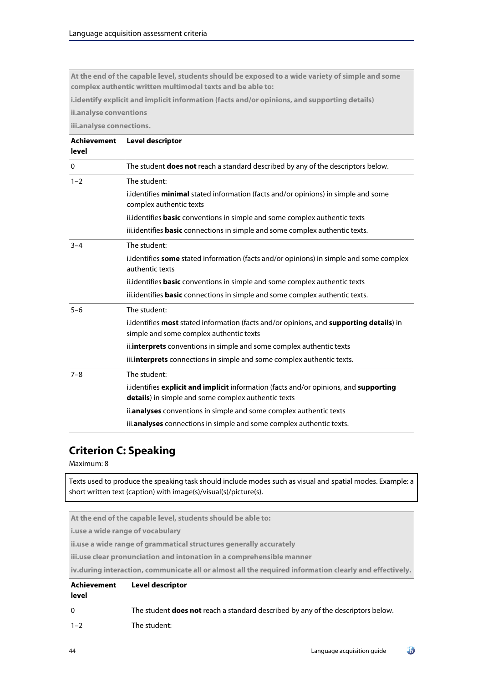**At the end of the capable level, students should be exposed to a wide variety of simple and some complex authentic written multimodal texts and be able to:**

**i.identify explicit and implicit information (facts and/or opinions, and supporting details)**

**ii.analyse conventions**

**iii.analyse connections.**

| Achievement<br>level | <b>Level descriptor</b>                                                                                                                      |
|----------------------|----------------------------------------------------------------------------------------------------------------------------------------------|
| $\Omega$             | The student does not reach a standard described by any of the descriptors below.                                                             |
| $1 - 2$              | The student:                                                                                                                                 |
|                      | i.identifies <b>minimal</b> stated information (facts and/or opinions) in simple and some<br>complex authentic texts                         |
|                      | ii. identifies <b>basic</b> conventions in simple and some complex authentic texts                                                           |
|                      | iii.identifies <b>basic</b> connections in simple and some complex authentic texts.                                                          |
| $3 - 4$              | The student:                                                                                                                                 |
|                      | i.identifies some stated information (facts and/or opinions) in simple and some complex<br>authentic texts                                   |
|                      | ii.identifies <b>basic</b> conventions in simple and some complex authentic texts                                                            |
|                      | iii.identifies <b>basic</b> connections in simple and some complex authentic texts.                                                          |
| $5 - 6$              | The student:                                                                                                                                 |
|                      | i.identifies most stated information (facts and/or opinions, and supporting details) in<br>simple and some complex authentic texts           |
|                      | ii.interprets conventions in simple and some complex authentic texts                                                                         |
|                      | iii. interprets connections in simple and some complex authentic texts.                                                                      |
| $7 - 8$              | The student:                                                                                                                                 |
|                      | i.identifies explicit and implicit information (facts and/or opinions, and supporting<br>details) in simple and some complex authentic texts |
|                      | ii.analyses conventions in simple and some complex authentic texts                                                                           |
|                      | iii.analyses connections in simple and some complex authentic texts.                                                                         |

## **Criterion C: Speaking**

Maximum: 8

Texts used to produce the speaking task should include modes such as visual and spatial modes. Example: a short written text (caption) with image(s)/visual(s)/picture(s).

| At the end of the capable level, students should be able to:                                           |                                                                                         |
|--------------------------------------------------------------------------------------------------------|-----------------------------------------------------------------------------------------|
| i.use a wide range of vocabulary                                                                       |                                                                                         |
| ii.use a wide range of grammatical structures generally accurately                                     |                                                                                         |
| iii.use clear pronunciation and intonation in a comprehensible manner                                  |                                                                                         |
| iv.during interaction, communicate all or almost all the required information clearly and effectively. |                                                                                         |
| Achievement                                                                                            | <b>Level descriptor</b>                                                                 |
| level                                                                                                  |                                                                                         |
| $\overline{0}$                                                                                         | The student <b>does not</b> reach a standard described by any of the descriptors below. |
| $1 - 2$                                                                                                | The student:                                                                            |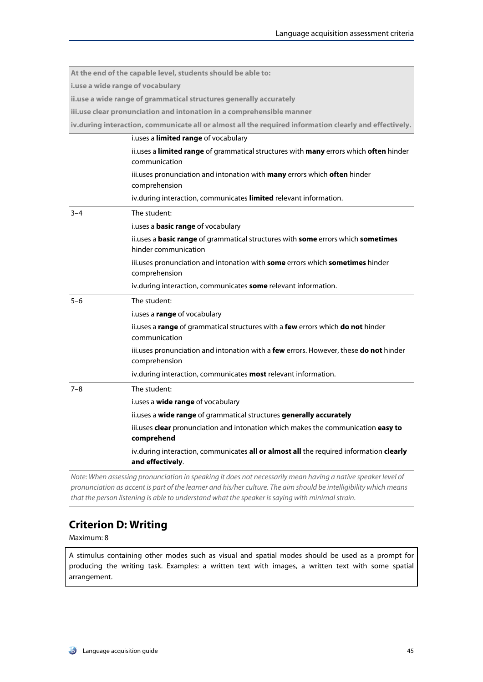|                                                                       | At the end of the capable level, students should be able to:                                                      |
|-----------------------------------------------------------------------|-------------------------------------------------------------------------------------------------------------------|
| i.use a wide range of vocabulary                                      |                                                                                                                   |
|                                                                       | ii.use a wide range of grammatical structures generally accurately                                                |
| iii.use clear pronunciation and intonation in a comprehensible manner |                                                                                                                   |
|                                                                       | iv.during interaction, communicate all or almost all the required information clearly and effectively.            |
|                                                                       | i.uses a limited range of vocabulary                                                                              |
|                                                                       | ii.uses a limited range of grammatical structures with many errors which often hinder<br>communication            |
|                                                                       | iii.uses pronunciation and intonation with many errors which often hinder<br>comprehension                        |
|                                                                       | iv.during interaction, communicates limited relevant information.                                                 |
| $3 - 4$                                                               | The student:                                                                                                      |
|                                                                       | i.uses a <b>basic range</b> of vocabulary                                                                         |
|                                                                       | ii.uses a basic range of grammatical structures with some errors which sometimes<br>hinder communication          |
|                                                                       | iii.uses pronunciation and intonation with some errors which sometimes hinder<br>comprehension                    |
|                                                                       | iv.during interaction, communicates some relevant information.                                                    |
| $5 - 6$                                                               | The student:                                                                                                      |
|                                                                       | i.uses a range of vocabulary                                                                                      |
|                                                                       | ii.uses a range of grammatical structures with a few errors which do not hinder<br>communication                  |
|                                                                       | iii.uses pronunciation and intonation with a few errors. However, these do not hinder<br>comprehension            |
|                                                                       | iv.during interaction, communicates <b>most</b> relevant information.                                             |
| $7 - 8$                                                               | The student:                                                                                                      |
|                                                                       | i.uses a wide range of vocabulary                                                                                 |
|                                                                       | ii.uses a wide range of grammatical structures generally accurately                                               |
|                                                                       | iii.uses <b>clear</b> pronunciation and intonation which makes the communication <b>easy to</b><br>comprehend     |
|                                                                       | iv.during interaction, communicates all or almost all the required information clearly<br>and effectively.        |
|                                                                       | Note: When assessing pronunciation in speaking it does not necessarily mean having a native speaker level of      |
|                                                                       | pronunciation as accent is part of the learner and his/her culture. The aim should be intelligibility which means |

### **Criterion D: Writing**

Maximum: 8

A stimulus containing other modes such as visual and spatial modes should be used as a prompt for producing the writing task. Examples: a written text with images, a written text with some spatial arrangement.

*that the person listening is able to understand what the speaker is saying with minimal strain.*